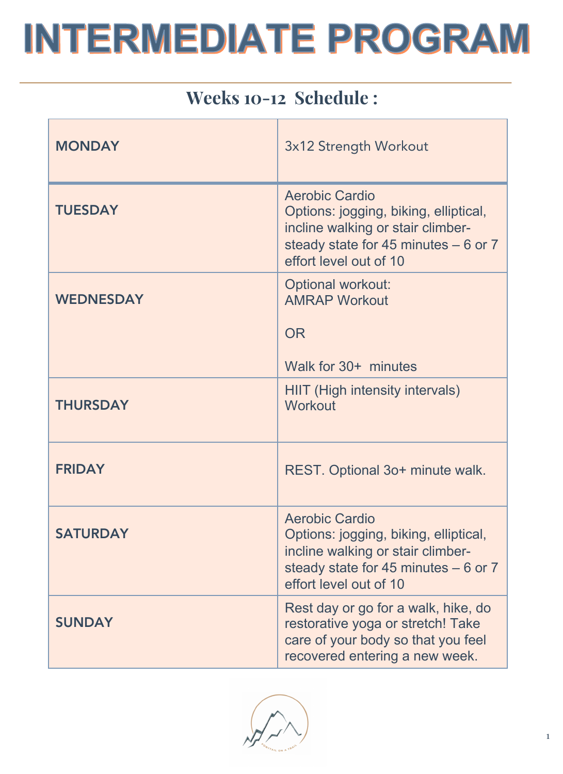### Weeks 10-12 Schedule :

| <b>MONDAY</b>    | 3x12 Strength Workout                                                                                                                                                  |
|------------------|------------------------------------------------------------------------------------------------------------------------------------------------------------------------|
| <b>TUESDAY</b>   | <b>Aerobic Cardio</b><br>Options: jogging, biking, elliptical,<br>incline walking or stair climber-<br>steady state for 45 minutes $-6$ or 7<br>effort level out of 10 |
| <b>WEDNESDAY</b> | <b>Optional workout:</b><br><b>AMRAP Workout</b><br><b>OR</b><br>Walk for 30+ minutes                                                                                  |
| <b>THURSDAY</b>  | <b>HIIT</b> (High intensity intervals)<br>Workout                                                                                                                      |
| <b>FRIDAY</b>    | REST. Optional 3o+ minute walk.                                                                                                                                        |
| <b>SATURDAY</b>  | <b>Aerobic Cardio</b><br>Options: jogging, biking, elliptical,<br>incline walking or stair climber-<br>steady state for 45 minutes $-6$ or 7<br>effort level out of 10 |
| <b>SUNDAY</b>    | Rest day or go for a walk, hike, do<br>restorative yoga or stretch! Take<br>care of your body so that you feel<br>recovered entering a new week.                       |

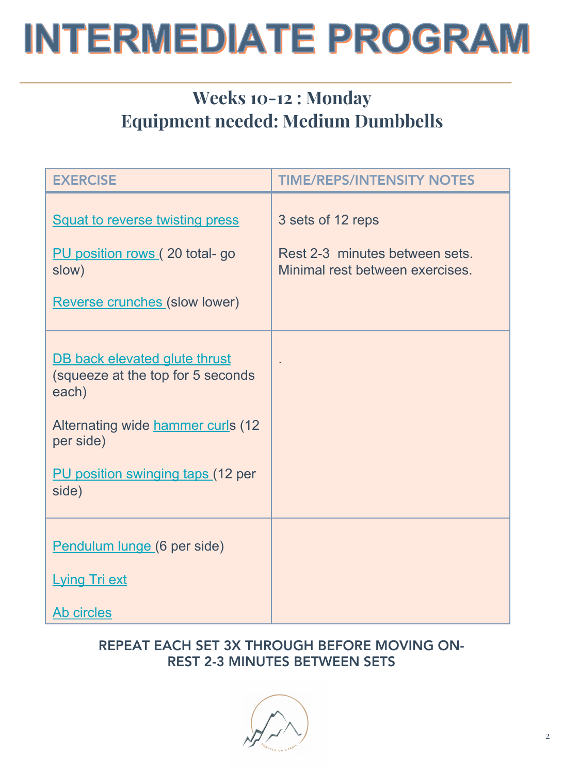## Weeks 10-12 : Monday Equipment needed: Medium Dumbbells

| <b>EXERCISE</b>                                                                                                                                                             | <b>TIME/REPS/INTENSITY NOTES</b>                                                       |
|-----------------------------------------------------------------------------------------------------------------------------------------------------------------------------|----------------------------------------------------------------------------------------|
| <b>Squat to reverse twisting press</b><br>PU position rows (20 total- go<br>slow)<br>Reverse crunches (slow lower)                                                          | 3 sets of 12 reps<br>Rest 2-3 minutes between sets.<br>Minimal rest between exercises. |
| DB back elevated glute thrust<br>(squeeze at the top for 5 seconds<br>each)<br>Alternating wide hammer curls (12<br>per side)<br>PU position swinging taps (12 per<br>side) |                                                                                        |
| Pendulum lunge (6 per side)<br><b>Lying Tri ext</b><br>Ab circles                                                                                                           |                                                                                        |

#### REPEAT EACH SET 3X THROUGH BEFORE MOVING ON-REST 2-3 MINUTES BETWEEN SETS

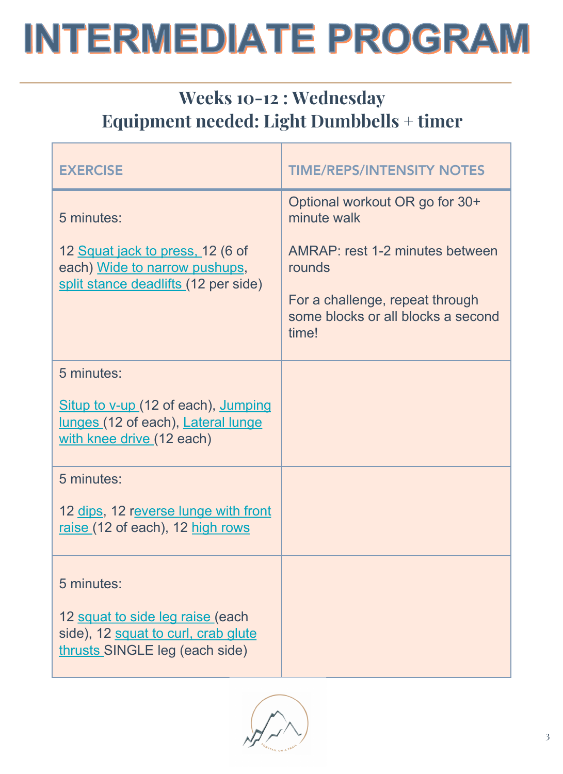## Weeks 10-12 : Wednesday Equipment needed: Light Dumbbells + timer

| <b>EXERCISE</b>                                                                                                         | <b>TIME/REPS/INTENSITY NOTES</b>                                                                                                                                             |
|-------------------------------------------------------------------------------------------------------------------------|------------------------------------------------------------------------------------------------------------------------------------------------------------------------------|
| 5 minutes:<br>12 Squat jack to press, 12 (6 of<br>each) Wide to narrow pushups,<br>split stance deadlifts (12 per side) | Optional workout OR go for 30+<br>minute walk<br>AMRAP: rest 1-2 minutes between<br>rounds<br>For a challenge, repeat through<br>some blocks or all blocks a second<br>time! |
| 5 minutes:<br>Situp to v-up (12 of each), Jumping<br>lunges (12 of each), Lateral lunge<br>with knee drive (12 each)    |                                                                                                                                                                              |
| 5 minutes:<br>12 dips, 12 reverse lunge with front<br>raise (12 of each), 12 high rows                                  |                                                                                                                                                                              |
| 5 minutes:<br>12 squat to side leg raise (each<br>side), 12 squat to curl, crab glute<br>thrusts SINGLE leg (each side) |                                                                                                                                                                              |